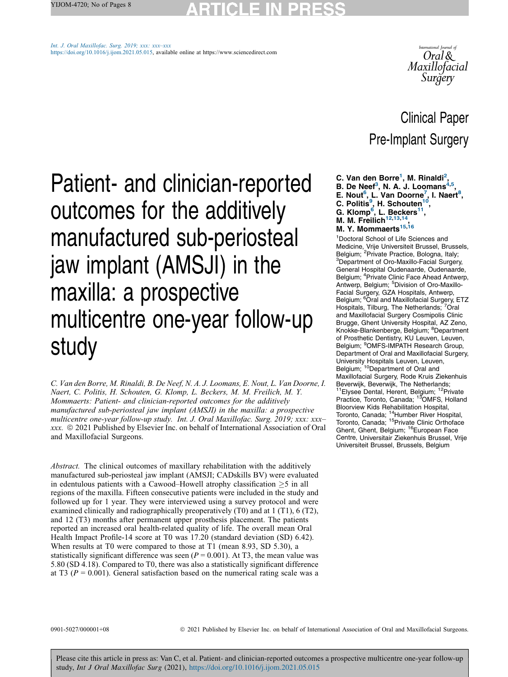Int. J. Oral [Maxillofac.](https://doi.org/10.1016/j.ijom.2021.05.015) Surg. 2019; xxx: xxx–xxx [https://doi.org/10.1016/j.ijom.2021.05.015,](https://doi.org/10.1016/j.ijom.2021.05.015) available online at https://www.sciencedirect.com



# Clinical Paper Pre-Implant Surgery

- C. Van den Borre<sup>1</sup>, M. Rinaldi<sup>2</sup>,
- B. De Neef<sup>3</sup>, N. A. J. Loomans<sup>4,5</sup>
- B. De Neef<sup>3</sup>, N. A. J. Loomans<sup>4,5</sup>,<br>E. Nout<sup>6</sup>, L. Van Doorne<sup>7</sup>, I. Naert<sup>8</sup>,<br>C. Politis<sup>9</sup>, H. Schouten<sup>10</sup>,
- 
- G. Klomp<sup>6</sup>, L. Beckers<sup>11</sup>,
- M. M. Freilich $12,13,14$ ,

# M. Y. Mommaerts<sup>15,16</sup>

1 Doctoral School of Life Sciences and Medicine, Vrije Universiteit Brussel, Brussels, Belgium; <sup>2</sup>Private Practice, Bologna, Italy;<br><sup>3</sup>Department of Oro-Maxillo-Eacial Surger <sup>3</sup>Department of Oro-Maxillo-Facial Surgery, General Hospital Oudenaarde, Oudenaarde, Belgium; <sup>4</sup> Private Clinic Face Ahead Antwerp, Antwerp, Belgium; <sup>5</sup>Division of Oro-Maxillo-Facial Surgery, GZA Hospitals, Antwerp, Belgium; <sup>6</sup>Oral and Maxillofacial Surgery, ETZ Hospitals, Tilburg, The Netherlands; 7Oral and Maxillofacial Surgery Cosmipolis Clinic Brugge, Ghent University Hospital, AZ Zeno, Knokke-Blankenberge, Belgium; <sup>8</sup>Department of Prosthetic Dentistry, KU Leuven, Leuven, Belgium; <sup>9</sup>OMFS-IMPATH Research Group, Department of Oral and Maxillofacial Surgery, University Hospitals Leuven, Leuven,<br>Belgium; <sup>10</sup>Department of Oral and Maxillofacial Surgery, Rode Kruis Ziekenhuis Beverwijk, Beverwijk, The Netherlands;<br><sup>11</sup>Elysee Dental, Herent, Belgium; <sup>12</sup>Private Practice, Toronto, Canada; <sup>13</sup>OMFS, Holland Bloorview Kids Rehabilitation Hospital, Toronto, Canada; 14Humber River Hospital, Toronto, Canada; <sup>15</sup>Private Clinic Orthoface Ghent, Ghent, Belgium; <sup>16</sup>European Face Centre, Universitair Ziekenhuis Brussel, Vrije Universiteit Brussel, Brussels, Belgium

Patient- and clinician-reported outcomes for the additively manufactured sub-periosteal jaw implant (AMSJI) in the maxilla: a prospective multicentre one-year follow-up study

C. Van den Borre, M. Rinaldi, B. De Neef, N. A. J. Loomans, E. Nout, L. Van Doorne, I. Naert, C. Politis, H. Schouten, G. Klomp, L. Beckers, M. M. Freilich, M. Y. Mommaerts: Patient- and clinician-reported outcomes for the additively manufactured sub-periosteal jaw implant (AMSJI) in the maxilla: a prospective multicentre one-year follow-up study. Int. J. Oral Maxillofac. Surg. 2019; xxx: xxx– xxx. ã 2021 Published by Elsevier Inc. on behalf of International Association of Oral and Maxillofacial Surgeons.

Abstract. The clinical outcomes of maxillary rehabilitation with the additively manufactured sub-periosteal jaw implant (AMSJI; CADskills BV) were evaluated in edentulous patients with a Cawood–Howell atrophy classification  $\geq 5$  in all regions of the maxilla. Fifteen consecutive patients were included in the study and followed up for 1 year. They were interviewed using a survey protocol and were examined clinically and radiographically preoperatively (T0) and at 1 (T1), 6 (T2), and 12 (T3) months after permanent upper prosthesis placement. The patients reported an increased oral health-related quality of life. The overall mean Oral Health Impact Profile-14 score at T0 was 17.20 (standard deviation (SD) 6.42). When results at T0 were compared to those at T1 (mean 8.93, SD 5.30), a statistically significant difference was seen ( $P = 0.001$ ). At T3, the mean value was 5.80 (SD 4.18). Compared to T0, there was also a statistically significant difference at T3 ( $P = 0.001$ ). General satisfaction based on the numerical rating scale was a

0901-5027/000001+08  $\odot$  2021 Published by Elsevier Inc. on behalf of International Association of Oral and Maxillofacial Surgeons.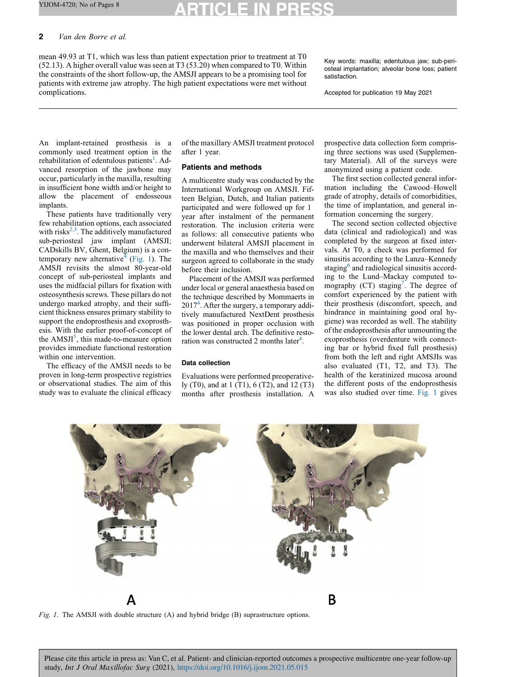# 2 Van den Borre et al.

mean 49.93 at T1, which was less than patient expectation prior to treatment at T0  $(52.13)$ . A higher overall value was seen at T3  $(53.20)$  when compared to T0. Within the constraints of the short follow-up, the AMSJI appears to be a promising tool for patients with extreme jaw atrophy. The high patient expectations were met without complications.

Key words: maxilla; edentulous jaw; sub-periosteal implantation; alveolar bone loss; patient satisfaction.

Accepted for publication 19 May 2021

An implant-retained prosthesis is a commonly used treatment option in the rehabilitation of edentulous patients<sup>1</sup>. [Ad](#page-6-0)vanced resorption of the jawbone may occur, particularly in the maxilla, resulting in insufficient bone width and/or height to allow the placement of endosseous implants.

These patients have traditionally very few rehabilitation options, each associated with risks $^{2,3}$ . The additively [manufactured](#page-6-0) sub-periosteal jaw implant (AMSJI; CADskills BV, Ghent, Belgium) is a con-temporary new alternative<sup>4</sup> [\(](#page-7-0)Fig. 1). The AMSJI revisits the almost 80-year-old concept of sub-periosteal implants and uses the midfacial pillars for fixation with osteosynthesis screws. These pillars do not undergo marked atrophy, and their sufficient thickness ensures primary stability to support the endoprosthesis and exoprosthesis. With the earlier proof-of-concept of the  $AMSJI^5$ , this [made-to-measure](#page-7-0) option provides immediate functional restoration within one intervention.

The efficacy of the AMSJI needs to be proven in long-term prospective registries or observational studies. The aim of this study was to evaluate the clinical efficacy of the maxillary AMSJI treatment protocol after 1 year.

# Patients and methods

A multicentre study was conducted by the International Workgroup on AMSJI. Fifteen Belgian, Dutch, and Italian patients participated and were followed up for 1 year after instalment of the permanent restoration. The inclusion criteria were as follows: all consecutive patients who underwent bilateral AMSJI placement in the maxilla and who themselves and their surgeon agreed to collaborate in the study before their inclusion.

Placement of the AMSJI was performed under local or general anaesthesia based on the technique described by Mommaerts in 20174 . After the surgery, a [temporary](#page-7-0) additively manufactured NextDent prosthesis was positioned in proper occlusion with the lower dental arch. The definitive resto-ration was constructed 2 months later<sup>[4](#page-7-0)</sup>.

### Data collection

Evaluations were performed preoperatively (T0), and at 1 (T1), 6 (T2), and 12 (T3) months after prosthesis installation. A prospective data collection form comprising three sections was used (Supplementary Material). All of the surveys were anonymized using a patient code.

The first section collected general information including the Cawood–Howell grade of atrophy, details of comorbidities, the time of implantation, and general information concerning the surgery.

The second section collected objective data (clinical and radiological) and was completed by the surgeon at fixed intervals. At T0, a check was performed for sinusitis according to the Lanza–Kennedy staging<sup>6</sup> and [radiological](#page-7-0) sinusitis according to the Lund–Mackay computed tomography (CT) staging<sup>7</sup>. The [degree](#page-7-0) of comfort experienced by the patient with their prosthesis (discomfort, speech, and hindrance in maintaining good oral hygiene) was recorded as well. The stability of the endoprosthesis after unmounting the exoprosthesis (overdenture with connecting bar or hybrid fixed full prosthesis) from both the left and right AMSJIs was also evaluated (T1, T2, and T3). The health of the keratinized mucosa around the different posts of the endoprosthesis was also studied over time. Fig. 1 gives



Fig. 1. The AMSJI with double structure (A) and hybrid bridge (B) suprastructure options.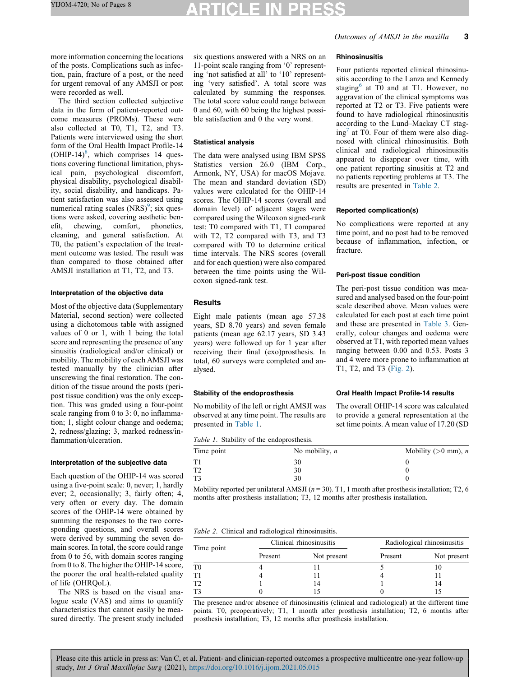# TICLE IN PR

more information concerning the locations of the posts. Complications such as infection, pain, fracture of a post, or the need for urgent removal of any AMSJI or post were recorded as well.

The third section collected subjective data in the form of patient-reported outcome measures (PROMs). These were also collected at T0, T1, T2, and T3. Patients were interviewed using the short form of the Oral Health Impact Profile-14  $(OHIP-14)^8$ , which [comprises](#page-7-0) 14 questions covering functional limitation, physical pain, psychological discomfort, physical disability, psychological disability, social disability, and handicaps. Patient satisfaction was also assessed using numerical rating scales  $(NRS)^9$ ; six [ques](#page-7-0)tions were asked, covering aesthetic benefit, chewing, comfort, phonetics, cleaning, and general satisfaction. At T0, the patient's expectation of the treatment outcome was tested. The result was than compared to those obtained after AMSJI installation at T1, T2, and T3.

#### Interpretation of the objective data

Most of the objective data (Supplementary Material, second section) were collected using a dichotomous table with assigned values of 0 or 1, with 1 being the total score and representing the presence of any sinusitis (radiological and/or clinical) or mobility. The mobility of each AMSJI was tested manually by the clinician after unscrewing the final restoration. The condition of the tissue around the posts (peripost tissue condition) was the only exception. This was graded using a four-point scale ranging from 0 to 3: 0, no inflammation; 1, slight colour change and oedema; 2, redness/glazing; 3, marked redness/inflammation/ulceration.

#### Interpretation of the subjective data

Each question of the OHIP-14 was scored using a five-point scale: 0, never; 1, hardly ever; 2, occasionally; 3, fairly often; 4, very often or every day. The domain scores of the OHIP-14 were obtained by summing the responses to the two corresponding questions, and overall scores were derived by summing the seven domain scores. In total, the score could range from 0 to 56, with domain scores ranging from 0 to 8. The higher the OHIP-14 score, the poorer the oral health-related quality of life (OHRQoL).

The NRS is based on the visual analogue scale (VAS) and aims to quantify characteristics that cannot easily be measured directly. The present study included six questions answered with a NRS on an 11-point scale ranging from '0' representing 'not satisfied at all' to '10' representing 'very satisfied'. A total score was calculated by summing the responses. The total score value could range between 0 and 60, with 60 being the highest possible satisfaction and 0 the very worst.

### Statistical analysis

The data were analysed using IBM SPSS Statistics version 26.0 (IBM Corp., Armonk, NY, USA) for macOS Mojave. The mean and standard deviation (SD) values were calculated for the OHIP-14 scores. The OHIP-14 scores (overall and domain level) of adjacent stages were compared using the Wilcoxon signed-rank test: T0 compared with T1, T1 compared with T2, T2 compared with T3, and T3 compared with T0 to determine critical time intervals. The NRS scores (overall and for each question) were also compared between the time points using the Wilcoxon signed-rank test.

# **Results**

Eight male patients (mean age 57.38 years, SD 8.70 years) and seven female patients (mean age 62.17 years, SD 3.43 years) were followed up for 1 year after receiving their final (exo)prosthesis. In total, 60 surveys were completed and analysed.

# Stability of the endoprosthesis

No mobility of the left or right AMSJI was observed at any time point. The results are presented in Table 1.

Table 1. Stability of the endoprosthesis.

| Time point     | No mobility, $n$ | Mobility ( $>0$ mm), <i>n</i> |
|----------------|------------------|-------------------------------|
| T1             | 30               |                               |
| T <sub>2</sub> | 30               |                               |
| T <sub>3</sub> | 30               |                               |

Mobility reported per unilateral AMSJI ( $n = 30$ ). T1, 1 month after prosthesis installation; T2, 6 months after prosthesis installation; T3, 12 months after prosthesis installation.

|  |  |  |  | Table 2. Clinical and radiological rhinosinusitis. |  |
|--|--|--|--|----------------------------------------------------|--|
|--|--|--|--|----------------------------------------------------|--|

| Time point  |         | Clinical rhinosinusitis | Radiological rhinosinusitis |             |  |
|-------------|---------|-------------------------|-----------------------------|-------------|--|
|             | Present | Not present             | Present                     | Not present |  |
| $_{\rm T0}$ |         |                         |                             |             |  |
| T1          |         |                         |                             |             |  |
| T2          |         | 14                      |                             |             |  |
| T3          |         |                         |                             |             |  |

The presence and/or absence of rhinosinusitis (clinical and radiological) at the different time points. T0, preoperatively; T1, 1 month after prosthesis installation; T2, 6 months after prosthesis installation; T3, 12 months after prosthesis installation.

# Outcomes of AMSJI in the maxilla 3

### Rhinosinusitis

Four patients reported clinical rhinosinusitis according to the Lanza and Kennedy staging $<sup>6</sup>$  at T<sub>0</sub> and at T<sub>1</sub>. [However,](#page-7-0) no</sup> aggravation of the clinical symptoms was reported at T2 or T3. Five patients were found to have radiological rhinosinusitis according to the Lund–Mackay CT stag $ing<sup>7</sup>$  at T0. Four of them were also [diag](#page-7-0)nosed with clinical rhinosinusitis. Both clinical and radiological rhinosinusitis appeared to disappear over time, with one patient reporting sinusitis at T2 and no patients reporting problems at T3. The results are presented in Table 2.

### Reported complication(s)

No complications were reported at any time point, and no post had to be removed because of inflammation, infection, or fracture.

# Peri-post tissue condition

The peri-post tissue condition was measured and analysed based on the four-point scale described above. Mean values were calculated for each post at each time point and these are presented in [Table](#page-3-0) 3. Generally, colour changes and oedema were observed at T1, with reported mean values ranging between 0.00 and 0.53. Posts 3 and 4 were more prone to inflammation at T1, T2, and T3 [\(Fig.](#page-3-0) 2).

# Oral Health Impact Profile-14 results

The overall OHIP-14 score was calculated to provide a general representation at the set time points. A mean value of 17.20 (SD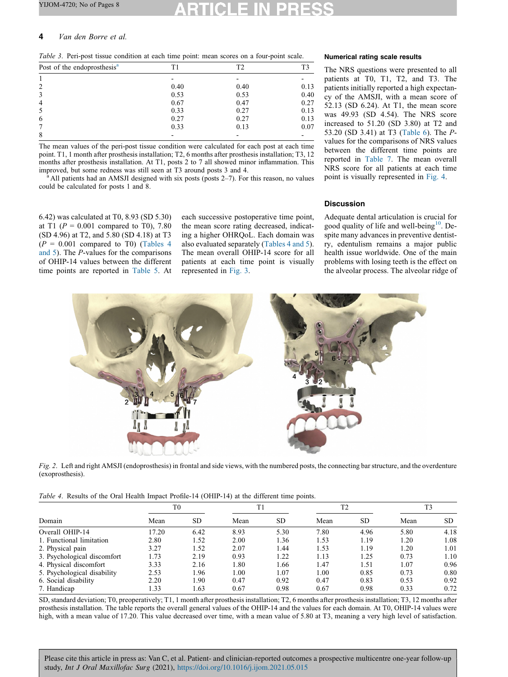# <span id="page-3-0"></span>4 Van den Borre et al.

Table 3. Peri-post tissue condition at each time point: mean scores on a four-point scale.

| Post of the endoprosthesis <sup>a</sup> | Τ1   | T2   |      |
|-----------------------------------------|------|------|------|
|                                         |      |      |      |
| 2                                       | 0.40 | 0.40 | 0.13 |
| 3                                       | 0.53 | 0.53 | 0.40 |
| $\overline{4}$                          | 0.67 | 0.47 | 0.27 |
| 5                                       | 0.33 | 0.27 | 0.13 |
| 6                                       | 0.27 | 0.27 | 0.13 |
| 7                                       | 0.33 | 0.13 | 0.07 |
| 8                                       |      |      |      |

The mean values of the peri-post tissue condition were calculated for each post at each time point. T1, 1 month after prosthesis installation; T2, 6 months after prosthesis installation; T3, 12 months after prosthesis installation. At T1, posts 2 to 7 all showed minor inflammation. This improved, but some redness was still seen at T3 around posts  $3$  and  $4$ .<br><sup>a</sup> All patients had an AMSJI designed with six posts (posts  $2-7$ ). For this reason, no values

could be calculated for posts 1 and 8.

6.42) was calculated at T0, 8.93 (SD 5.30) at T1 ( $P = 0.001$  compared to T0), 7.80 (SD 4.96) at T2, and 5.80 (SD 4.18) at T3  $(P = 0.001$  compared to T0) (Tables 4 and 5). The P-values for the comparisons of OHIP-14 values between the different time points are reported in [Table](#page-4-0) 5. At each successive postoperative time point, the mean score rating decreased, indicating a higher OHRQoL. Each domain was also evaluated separately (Tables 4 and 5). The mean overall OHIP-14 score for all patients at each time point is visually represented in [Fig.](#page-4-0) 3.

# Numerical rating scale results

The NRS questions were presented to all patients at T0, T1, T2, and T3. The patients initially reported a high expectancy of the AMSJI, with a mean score of 52.13 (SD 6.24). At T1, the mean score was 49.93 (SD 4.54). The NRS score increased to 51.20 (SD 3.80) at T2 and 53.20 (SD 3.41) at T3 ([Table](#page-4-0) 6). The Pvalues for the comparisons of NRS values between the different time points are reported in [Table](#page-5-0) 7. The mean overall NRS score for all patients at each time point is visually represented in [Fig.](#page-5-0) 4.

# **Discussion**

Adequate dental articulation is crucial for good quality of life and well-being $10$ . [De](#page-7-0)spite many advances in preventive dentistry, edentulism remains a major public health issue worldwide. One of the main problems with losing teeth is the effect on the alveolar process. The alveolar ridge of



Fig. 2. Left and right AMSJI (endoprosthesis) in frontal and side views, with the numbered posts, the connecting bar structure, and the overdenture (exoprosthesis).

Table 4. Results of the Oral Health Impact Profile-14 (OHIP-14) at the different time points.

|                             | T <sub>0</sub> |           | T1   |      | T <sub>2</sub> |      | T <sub>3</sub> |      |
|-----------------------------|----------------|-----------|------|------|----------------|------|----------------|------|
| Domain                      | Mean           | <b>SD</b> | Mean | SD.  | Mean           | SD.  | Mean           | SD.  |
| Overall OHIP-14             | 17.20          | 6.42      | 8.93 | 5.30 | 7.80           | 4.96 | 5.80           | 4.18 |
| 1. Functional limitation    | 2.80           | 1.52      | 2.00 | 1.36 | 1.53           | 1.19 | 1.20           | 1.08 |
| 2. Physical pain            | 3.27           | 1.52      | 2.07 | 1.44 | 1.53           | 1.19 | 1.20           | 1.01 |
| 3. Psychological discomfort | 1.73           | 2.19      | 0.93 | 1.22 | 1.13           | 1.25 | 0.73           | 1.10 |
| 4. Physical discomfort      | 3.33           | 2.16      | 1.80 | 1.66 | 1.47           | 1.51 | 1.07           | 0.96 |
| 5. Psychological disability | 2.53           | 1.96      | 1.00 | 1.07 | 1.00           | 0.85 | 0.73           | 0.80 |
| 6. Social disability        | 2.20           | 1.90      | 0.47 | 0.92 | 0.47           | 0.83 | 0.53           | 0.92 |
| 7. Handicap                 | 1.33           | 1.63      | 0.67 | 0.98 | 0.67           | 0.98 | 0.33           | 0.72 |

SD, standard deviation; T0, preoperatively; T1, 1 month after prosthesis installation; T2, 6 months after prosthesis installation; T3, 12 months after prosthesis installation. The table reports the overall general values of the OHIP-14 and the values for each domain. At T0, OHIP-14 values were high, with a mean value of 17.20. This value decreased over time, with a mean value of 5.80 at T3, meaning a very high level of satisfaction.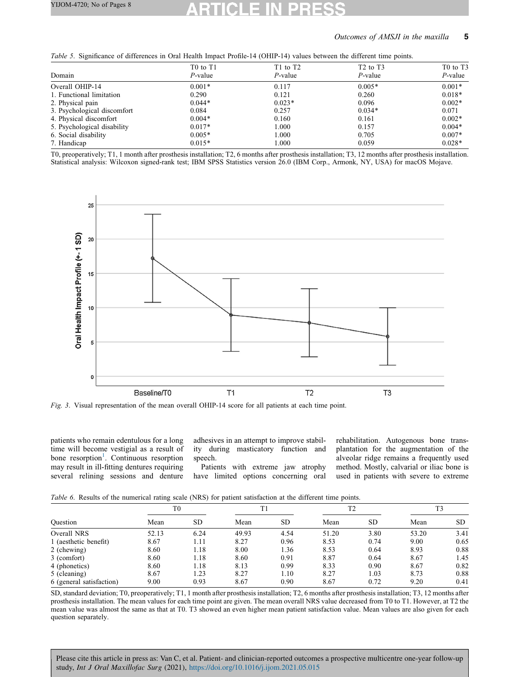# Outcomes of AMSJI in the maxilla 5

<span id="page-4-0"></span>

| Table 5. Significance of differences in Oral Health Impact Profile-14 (OHIP-14) values between the different time points. |  |  |  |  |
|---------------------------------------------------------------------------------------------------------------------------|--|--|--|--|
|---------------------------------------------------------------------------------------------------------------------------|--|--|--|--|

| . .                         |                                                |                                                |                            |                                                |  |
|-----------------------------|------------------------------------------------|------------------------------------------------|----------------------------|------------------------------------------------|--|
| Domain                      | T <sub>0</sub> to T <sub>1</sub><br>$P$ -value | T <sub>1</sub> to T <sub>2</sub><br>$P$ -value | $T2$ to $T3$<br>$P$ -value | T <sub>0</sub> to T <sub>3</sub><br>$P$ -value |  |
| Overall OHIP-14             | $0.001*$                                       | 0.117                                          | $0.005*$                   | $0.001*$                                       |  |
| 1. Functional limitation    | 0.290                                          | 0.121                                          | 0.260                      | $0.018*$                                       |  |
| 2. Physical pain            | $0.044*$                                       | $0.023*$                                       | 0.096                      | $0.002*$                                       |  |
| 3. Psychological discomfort | 0.084                                          | 0.257                                          | $0.034*$                   | 0.071                                          |  |
| 4. Physical discomfort      | $0.004*$                                       | 0.160                                          | 0.161                      | $0.002*$                                       |  |
| 5. Psychological disability | $0.017*$                                       | 1.000                                          | 0.157                      | $0.004*$                                       |  |
| 6. Social disability        | $0.005*$                                       | 1.000                                          | 0.705                      | $0.007*$                                       |  |
| 7. Handicap                 | $0.015*$                                       | 1.000                                          | 0.059                      | $0.028*$                                       |  |
|                             |                                                |                                                |                            |                                                |  |

T0, preoperatively; T1, 1 month after prosthesis installation; T2, 6 months after prosthesis installation; T3, 12 months after prosthesis installation. Statistical analysis: Wilcoxon signed-rank test; IBM SPSS Statistics version 26.0 (IBM Corp., Armonk, NY, USA) for macOS Mojave.



Fig. 3. Visual representation of the mean overall OHIP-14 score for all patients at each time point.

patients who remain edentulous for a long time will become vestigial as a result of bone resorption<sup>1</sup>. [Continuous](#page-6-0) resorption may result in ill-fitting dentures requiring several relining sessions and denture adhesives in an attempt to improve stability during masticatory function and speech.

Patients with extreme jaw atrophy have limited options concerning oral

rehabilitation. Autogenous bone transplantation for the augmentation of the alveolar ridge remains a frequently used method. Mostly, calvarial or iliac bone is used in patients with severe to extreme

Table 6. Results of the numerical rating scale (NRS) for patient satisfaction at the different time points.

|                          |       | T0        |       |           |       | T <sub>2</sub> |       | T <sub>3</sub> |  |
|--------------------------|-------|-----------|-------|-----------|-------|----------------|-------|----------------|--|
| Ouestion                 | Mean  | <b>SD</b> | Mean  | <b>SD</b> | Mean  | <b>SD</b>      | Mean  | SD.            |  |
| Overall NRS              | 52.13 | 6.24      | 49.93 | 4.54      | 51.20 | 3.80           | 53.20 | 3.41           |  |
| 1 (aesthetic benefit)    | 8.67  | 1.11      | 8.27  | 0.96      | 8.53  | 0.74           | 9.00  | 0.65           |  |
| 2 (chewing)              | 8.60  | 1.18      | 8.00  | 1.36      | 8.53  | 0.64           | 8.93  | 0.88           |  |
| 3 (comfort)              | 8.60  | 1.18      | 8.60  | 0.91      | 8.87  | 0.64           | 8.67  | 1.45           |  |
| 4 (phonetics)            | 8.60  | 1.18      | 8.13  | 0.99      | 8.33  | 0.90           | 8.67  | 0.82           |  |
| 5 (cleaning)             | 8.67  | 1.23      | 8.27  | 1.10      | 8.27  | 1.03           | 8.73  | 0.88           |  |
| 6 (general satisfaction) | 9.00  | 0.93      | 8.67  | 0.90      | 8.67  | 0.72           | 9.20  | 0.41           |  |

SD, standard deviation; T0, preoperatively; T1, 1 month after prosthesis installation; T2, 6 months after prosthesis installation; T3, 12 months after prosthesis installation. The mean values for each time point are given. The mean overall NRS value decreased from T0 to T1. However, at T2 the mean value was almost the same as that at T0. T3 showed an even higher mean patient satisfaction value. Mean values are also given for each question separately.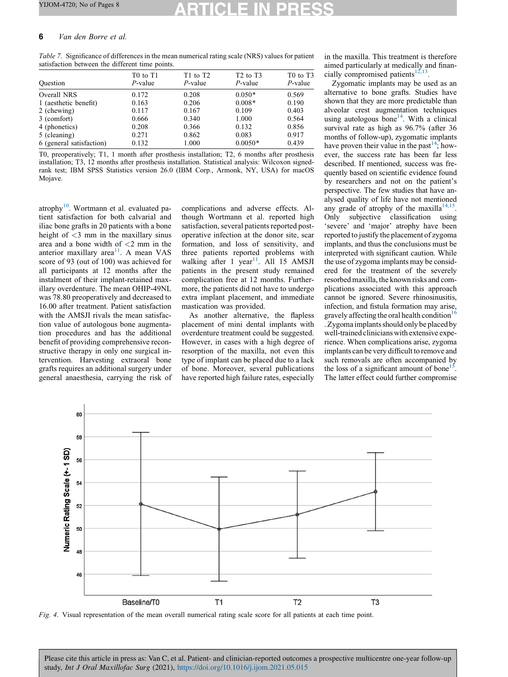# <span id="page-5-0"></span>6 Van den Borre et al.

Table 7. Significance of differences in the mean numerical rating scale (NRS) values for patient satisfaction between the different time points.

| Ouestion                 | T <sub>0</sub> to T <sub>1</sub><br>$P$ -value | $T1$ to $T2$<br>$P$ -value | $T2$ to $T3$<br>$P$ -value | T <sub>0</sub> to T <sub>3</sub><br>$P$ -value |
|--------------------------|------------------------------------------------|----------------------------|----------------------------|------------------------------------------------|
| Overall NRS              | 0.172                                          | 0.208                      | $0.050*$                   | 0.569                                          |
| 1 (aesthetic benefit)    | 0.163                                          | 0.206                      | $0.008*$                   | 0.190                                          |
| 2 (chewing)              | 0.117                                          | 0.167                      | 0.109                      | 0.403                                          |
| 3 (comfort)              | 0.666                                          | 0.340                      | 1.000                      | 0.564                                          |
| 4 (phonetics)            | 0.208                                          | 0.366                      | 0.132                      | 0.856                                          |
| 5 (cleaning)             | 0.271                                          | 0.862                      | 0.083                      | 0.917                                          |
| 6 (general satisfaction) | 0.132                                          | 1.000                      | $0.0050*$                  | 0.439                                          |

T0, preoperatively; T1, 1 month after prosthesis installation; T2, 6 months after prosthesis installation; T3, 12 months after prosthesis installation. Statistical analysis: Wilcoxon signedrank test; IBM SPSS Statistics version 26.0 (IBM Corp., Armonk, NY, USA) for macOS Mojave.

atrophy $10$ . [Wortmann](#page-7-0) et al. evaluated patient satisfaction for both calvarial and iliac bone grafts in 20 patients with a bone height of  $<$ 3 mm in the maxillary sinus area and a bone width of <2 mm in the anterior maxillary area $11$ . A [mean](#page-7-0) VAS score of 93 (out of 100) was achieved for all participants at 12 months after the instalment of their implant-retained maxillary overdenture. The mean OHIP-49NL was 78.80 preoperatively and decreased to 16.00 after treatment. Patient satisfaction with the AMSJI rivals the mean satisfaction value of autologous bone augmentation procedures and has the additional benefit of providing comprehensive reconstructive therapy in only one surgical intervention. Harvesting extraoral bone grafts requires an additional surgery under general anaesthesia, carrying the risk of complications and adverse effects. Although Wortmann et al. reported high satisfaction, several patients reported postoperative infection at the donor site, scar formation, and loss of sensitivity, and three patients reported problems with walking after 1 year<sup>11</sup>. All 15 [AMSJI](#page-7-0) patients in the present study remained complication free at 12 months. Furthermore, the patients did not have to undergo extra implant placement, and immediate mastication was provided.

As another alternative, the flapless placement of mini dental implants with overdenture treatment could be suggested. However, in cases with a high degree of resorption of the maxilla, not even this type of implant can be placed due to a lack of bone. Moreover, several publications have reported high failure rates, especially in the maxilla. This treatment is therefore aimed particularly at medically and financially compromised patients<sup>12,13</sup>

Zygomatic implants may be used as an alternative to bone grafts. Studies have shown that they are more predictable than alveolar crest augmentation techniques using autologous bone<sup>14</sup>. With a [clinical](#page-7-0) survival rate as high as 96.7% (after 36 months of follow-up), zygomatic implants have proven their value in the past<sup>14</sup>; [how](#page-7-0)ever, the success rate has been far less described. If mentioned, success was frequently based on scientific evidence found by researchers and not on the patient's perspective. The few studies that have analysed quality of life have not mentioned any grade of atrophy of the maxilla<sup>14,1</sup> Only subjective classification using 'severe' and 'major' atrophy have been reported to justify the placement of zygoma implants, and thus the conclusions must be interpreted with significant caution. While the use of zygoma implants may be considered for the treatment of the severely resorbed maxilla, the known risks and complications associated with this approach cannot be ignored. Severe rhinosinusitis, infection, and fistula formation may arise, gravely affecting the oral health condition<sup>16</sup> . Zygoma implants should only be placed by well-trained clinicians with extensive experience. When complications arise, zygoma implants can be very difficult to remove and such removals are often accompanied by the loss of a significant amount of bone<sup>15</sup> The latter effect could further compromise



Fig. 4. Visual representation of the mean overall numerical rating scale score for all patients at each time point.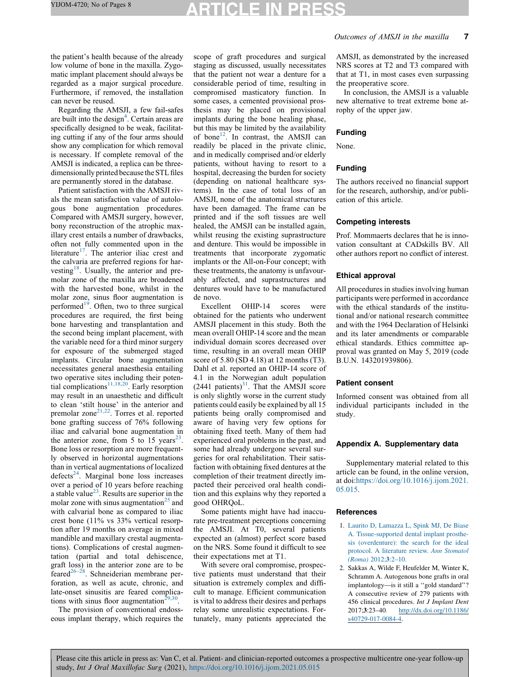# TICLE IN PR

<span id="page-6-0"></span>the patient's health because of the already low volume of bone in the maxilla. Zygomatic implant placement should always be regarded as a major surgical procedure. Furthermore, if removed, the installation can never be reused.

Regarding the AMSJI, a few fail-safes are built into the design $4$ . [Certain](#page-7-0) areas are specifically designed to be weak, facilitating cutting if any of the four arms should show any complication for which removal is necessary. If complete removal of the AMSJI is indicated, a replica can be threedimensionally printed because the STL files are permanently stored in the database.

Patient satisfaction with the AMSJI rivals the mean satisfaction value of autologous bone augmentation procedures. Compared with AMSJI surgery, however, bony reconstruction of the atrophic maxillary crest entails a number of drawbacks, often not fully commented upon in the literature<sup>17</sup>. The [anterior](#page-7-0) iliac crest and the calvaria are preferred regions for har-vesting<sup>18</sup>. [Usually,](#page-7-0) the anterior and premolar zone of the maxilla are broadened with the harvested bone, whilst in the molar zone, sinus floor augmentation is performed<sup>19</sup>. Often, two to three [surgical](#page-7-0) procedures are required, the first being bone harvesting and transplantation and the second being implant placement, with the variable need for a third minor surgery for exposure of the submerged staged implants. Circular bone augmentation necessitates general anaesthesia entailing two operative sites including their potential complications<sup>11,18,20</sup>. Early [resorption](#page-7-0) may result in an unaesthetic and difficult to clean 'stilt house' in the anterior and premolar zone $2^{1,22}$ . Torres et al. [reported](#page-7-0) bone grafting success of 76% following iliac and calvarial bone augmentation in the anterior zone, from 5 to 15 years<sup>23</sup>. Bone loss or resorption are more frequently observed in horizontal augmentations than in vertical augmentations of localized  $defects<sup>24</sup>$ . [Marginal](#page-7-0) bone loss increases over a period of 10 years before reaching a stable value $^{23}$ . Results are [superior](#page-7-0) in the molar zone with sinus augmentation<sup>25</sup> [and](#page-7-0) with calvarial bone as compared to iliac crest bone (11% vs 33% vertical resorption after 19 months on average in mixed mandible and maxillary crestal augmentations). Complications of crestal augmentation (partial and total dehiscence, graft loss) in the anterior zone are to be feared<sup>26–28</sup>. [Schneiderian](#page-7-0) membrane perforation, as well as acute, chronic, and late-onset sinusitis are feared complications with sinus floor augmentation<sup>29</sup>

The provision of conventional endosseous implant therapy, which requires the scope of graft procedures and surgical staging as discussed, usually necessitates that the patient not wear a denture for a considerable period of time, resulting in compromised masticatory function. In some cases, a cemented provisional prosthesis may be placed on provisional implants during the bone healing phase, but this may be limited by the availability of bone<sup>12</sup>. In [contrast,](#page-7-0) the AMSJI can readily be placed in the private clinic, and in medically comprised and/or elderly patients, without having to resort to a hospital, decreasing the burden for society (depending on national healthcare systems). In the case of total loss of an AMSJI, none of the anatomical structures have been damaged. The frame can be printed and if the soft tissues are well healed, the AMSJI can be installed again, whilst reusing the existing suprastructure and denture. This would be impossible in treatments that incorporate zygomatic implants or the All-on-Four concept; with these treatments, the anatomy is unfavourably affected, and suprastructures and dentures would have to be manufactured de novo.

Excellent OHIP-14 scores were obtained for the patients who underwent AMSJI placement in this study. Both the mean overall OHIP-14 score and the mean individual domain scores decreased over time, resulting in an overall mean OHIP score of 5.80 (SD 4.18) at 12 months (T3). Dahl et al. reported an OHIP-14 score of 4.1 in the Norwegian adult population  $(2441 \text{ patients})^{31}$ . That the [AMSJI](#page-7-0) score is only slightly worse in the current study patients could easily be explained by all 15 patients being orally compromised and aware of having very few options for obtaining fixed teeth. Many of them had experienced oral problems in the past, and some had already undergone several surgeries for oral rehabilitation. Their satisfaction with obtaining fixed dentures at the completion of their treatment directly impacted their perceived oral health condition and this explains why they reported a good OHRQoL.

Some patients might have had inaccurate pre-treatment perceptions concerning the AMSJI. At T0, several patients expected an (almost) perfect score based on the NRS. Some found it difficult to see their expectations met at T1.

With severe oral compromise, prospective patients must understand that their situation is extremely complex and difficult to manage. Efficient communication is vital to address their desires and perhaps relay some unrealistic expectations. Fortunately, many patients appreciated the AMSJI, as demonstrated by the increased NRS scores at T2 and T3 compared with that at T1, in most cases even surpassing the preoperative score.

In conclusion, the AMSJI is a valuable new alternative to treat extreme bone atrophy of the upper jaw.

### Funding

None.

# Funding

The authors received no financial support for the research, authorship, and/or publication of this article.

## Competing interests

Prof. Mommaerts declares that he is innovation consultant at CADskills BV. All other authors report no conflict of interest.

### Ethical approval

All procedures in studies involving human participants were performed in accordance with the ethical standards of the institutional and/or national research committee and with the 1964 Declaration of Helsinki and its later amendments or comparable ethical standards. Ethics committee approval was granted on May 5, 2019 (code B.U.N. 143201939806).

#### Patient consent

Informed consent was obtained from all individual participants included in the study.

# Appendix A. Supplementary data

Supplementary material related to this article can be found, in the online version, at doi:[https://doi.org/10.1016/j.ijom.2021.](https://doi.org/10.1016/j.ijom.2021.05.015) [05.015.](https://doi.org/10.1016/j.ijom.2021.05.015)

## **References**

- 1. Laurito D, [Lamazza](http://refhub.elsevier.com/S0901-5027(21)00198-3/sbref0005) L, Spink MJ, De Biase A. [Tissue-supported](http://refhub.elsevier.com/S0901-5027(21)00198-3/sbref0005) dental implant prosthesis [\(overdenture\):](http://refhub.elsevier.com/S0901-5027(21)00198-3/sbref0005) the search for the ideal protocol. A [literature](http://refhub.elsevier.com/S0901-5027(21)00198-3/sbref0005) review. Ann Stomatol [\(Roma\)](http://refhub.elsevier.com/S0901-5027(21)00198-3/sbref0005) 2012;3:2–10.
- 2. Sakkas A, Wilde F, Heufelder M, Winter K, Schramm A. Autogenous bone grafts in oral implantology—is it still a ''gold standard''? A consecutive review of 279 patients with 456 clinical procedures. Int J Implant Dent 2017;3:23–40. [http://dx.doi.org/10.1186/](http://dx.doi.org/10.1186/s40729-017-0084-4) [s40729-017-0084-4.](http://dx.doi.org/10.1186/s40729-017-0084-4)